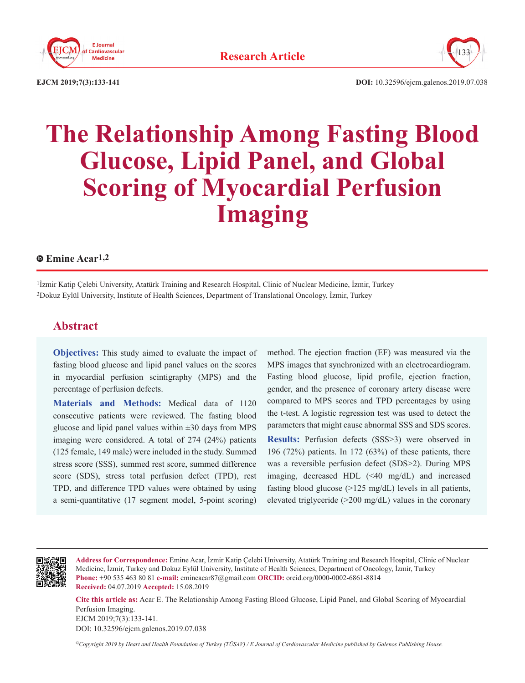



**EJCM 2019;7(3):133-141 DOI:** 10.32596/ejcm.galenos.2019.07.038

# **The Relationship Among Fasting Blood Glucose, Lipid Panel, and Global Scoring of Myocardial Perfusion Imaging**

# **Emine Acar1,2**

1İzmir Katip Çelebi University, Atatürk Training and Research Hospital, Clinic of Nuclear Medicine, İzmir, Turkey 2Dokuz Eylül University, Institute of Health Sciences, Department of Translational Oncology, İzmir, Turkey

# **Abstract**

**Objectives:** This study aimed to evaluate the impact of fasting blood glucose and lipid panel values on the scores in myocardial perfusion scintigraphy (MPS) and the percentage of perfusion defects.

**Materials and Methods:** Medical data of 1120 consecutive patients were reviewed. The fasting blood glucose and lipid panel values within  $\pm 30$  days from MPS imaging were considered. A total of 274 (24%) patients (125 female, 149 male) were included in the study. Summed stress score (SSS), summed rest score, summed difference score (SDS), stress total perfusion defect (TPD), rest TPD, and difference TPD values were obtained by using a semi-quantitative (17 segment model, 5-point scoring)

method. The ejection fraction (EF) was measured via the MPS images that synchronized with an electrocardiogram. Fasting blood glucose, lipid profile, ejection fraction, gender, and the presence of coronary artery disease were compared to MPS scores and TPD percentages by using the t-test. A logistic regression test was used to detect the parameters that might cause abnormal SSS and SDS scores. **Results:** Perfusion defects (SSS>3) were observed in 196 (72%) patients. In 172 (63%) of these patients, there was a reversible perfusion defect (SDS>2). During MPS imaging, decreased HDL (<40 mg/dL) and increased fasting blood glucose (>125 mg/dL) levels in all patients, elevated triglyceride (>200 mg/dL) values in the coronary



**Address for Correspondence:** Emine Acar, İzmir Katip Çelebi University, Atatürk Training and Research Hospital, Clinic of Nuclear Medicine, İzmir, Turkey and Dokuz Eylül University, Institute of Health Sciences, Department of Oncology, İzmir, Turkey **Phone:** +90 535 463 80 81 **e-mail:** emineacar87@gmail.com **ORCID:** orcid.org/0000-0002-6861-8814 **Received:** 04.07.2019 **Accepted:** 15.08.2019

**Cite this article as:** Acar E. The Relationship Among Fasting Blood Glucose, Lipid Panel, and Global Scoring of Myocardial Perfusion Imaging. EJCM 2019;7(3):133-141. DOI: 10.32596/ejcm.galenos.2019.07.038

*©Copyright 2019 by Heart and Health Foundation of Turkey (TÜSAV) / E Journal of Cardiovascular Medicine published by Galenos Publishing House.*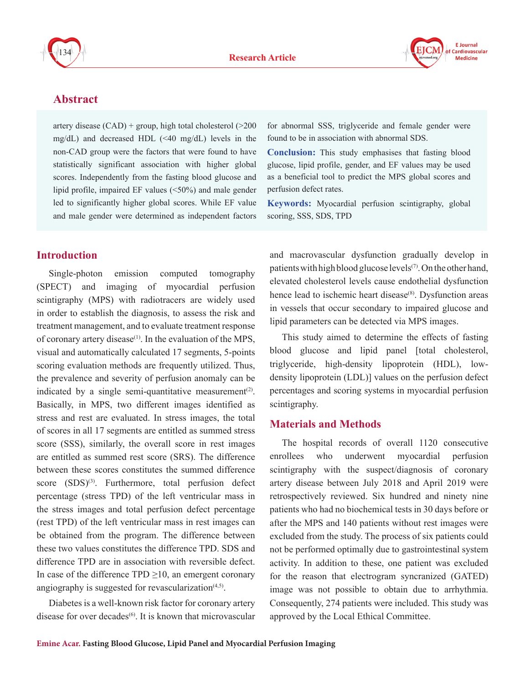



# **Abstract**

artery disease (CAD) + group, high total cholesterol (>200 mg/dL) and decreased HDL  $(\leq 40 \text{ mg/dL})$  levels in the non-CAD group were the factors that were found to have statistically significant association with higher global scores. Independently from the fasting blood glucose and lipid profile, impaired EF values (<50%) and male gender led to significantly higher global scores. While EF value and male gender were determined as independent factors

# **Introduction**

Single-photon emission computed tomography (SPECT) and imaging of myocardial perfusion scintigraphy (MPS) with radiotracers are widely used in order to establish the diagnosis, to assess the risk and treatment management, and to evaluate treatment response of coronary artery disease<sup> $(1)$ </sup>. In the evaluation of the MPS, visual and automatically calculated 17 segments, 5-points scoring evaluation methods are frequently utilized. Thus, the prevalence and severity of perfusion anomaly can be indicated by a single semi-quantitative measurement<sup>(2)</sup>. Basically, in MPS, two different images identified as stress and rest are evaluated. In stress images, the total of scores in all 17 segments are entitled as summed stress score (SSS), similarly, the overall score in rest images are entitled as summed rest score (SRS). The difference between these scores constitutes the summed difference score  $(SDS)^{(3)}$ . Furthermore, total perfusion defect percentage (stress TPD) of the left ventricular mass in the stress images and total perfusion defect percentage (rest TPD) of the left ventricular mass in rest images can be obtained from the program. The difference between these two values constitutes the difference TPD. SDS and difference TPD are in association with reversible defect. In case of the difference TPD  $\geq$ 10, an emergent coronary angiography is suggested for revascularization $(4,5)$ .

Diabetes is a well-known risk factor for coronary artery disease for over decades $(6)$ . It is known that microvascular

for abnormal SSS, triglyceride and female gender were found to be in association with abnormal SDS.

**Conclusion:** This study emphasises that fasting blood glucose, lipid profile, gender, and EF values may be used as a beneficial tool to predict the MPS global scores and perfusion defect rates.

**Keywords:** Myocardial perfusion scintigraphy, global scoring, SSS, SDS, TPD

and macrovascular dysfunction gradually develop in patients with high blood glucose levels<sup> $(7)$ </sup>. On the other hand, elevated cholesterol levels cause endothelial dysfunction hence lead to ischemic heart disease<sup>(8)</sup>. Dysfunction areas in vessels that occur secondary to impaired glucose and lipid parameters can be detected via MPS images.

This study aimed to determine the effects of fasting blood glucose and lipid panel [total cholesterol, triglyceride, high-density lipoprotein (HDL), lowdensity lipoprotein (LDL)] values on the perfusion defect percentages and scoring systems in myocardial perfusion scintigraphy.

# **Materials and Methods**

The hospital records of overall 1120 consecutive enrollees who underwent myocardial perfusion scintigraphy with the suspect/diagnosis of coronary artery disease between July 2018 and April 2019 were retrospectively reviewed. Six hundred and ninety nine patients who had no biochemical tests in 30 days before or after the MPS and 140 patients without rest images were excluded from the study. The process of six patients could not be performed optimally due to gastrointestinal system activity. In addition to these, one patient was excluded for the reason that electrogram syncranized (GATED) image was not possible to obtain due to arrhythmia. Consequently, 274 patients were included. This study was approved by the Local Ethical Committee.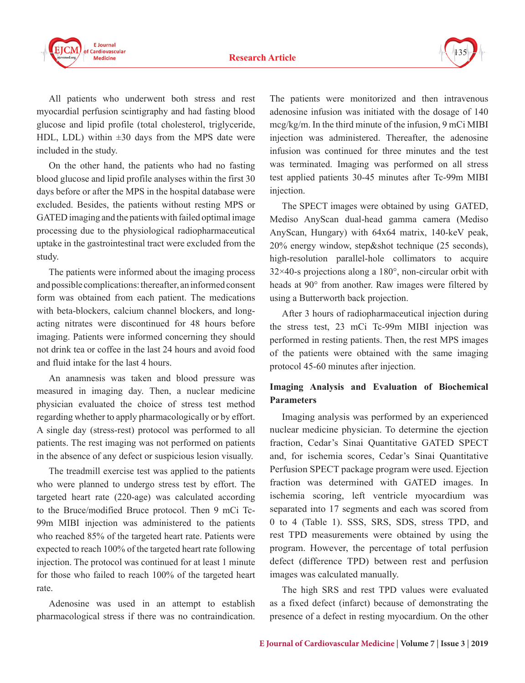

All patients who underwent both stress and rest myocardial perfusion scintigraphy and had fasting blood glucose and lipid profile (total cholesterol, triglyceride, HDL, LDL) within  $\pm 30$  days from the MPS date were included in the study.

On the other hand, the patients who had no fasting blood glucose and lipid profile analyses within the first 30 days before or after the MPS in the hospital database were excluded. Besides, the patients without resting MPS or GATED imaging and the patients with failed optimal image processing due to the physiological radiopharmaceutical uptake in the gastrointestinal tract were excluded from the study.

The patients were informed about the imaging process and possible complications: thereafter, an informed consent form was obtained from each patient. The medications with beta-blockers, calcium channel blockers, and longacting nitrates were discontinued for 48 hours before imaging. Patients were informed concerning they should not drink tea or coffee in the last 24 hours and avoid food and fluid intake for the last 4 hours.

An anamnesis was taken and blood pressure was measured in imaging day. Then, a nuclear medicine physician evaluated the choice of stress test method regarding whether to apply pharmacologically or by effort. A single day (stress-rest) protocol was performed to all patients. The rest imaging was not performed on patients in the absence of any defect or suspicious lesion visually.

The treadmill exercise test was applied to the patients who were planned to undergo stress test by effort. The targeted heart rate (220-age) was calculated according to the Bruce/modified Bruce protocol. Then 9 mCi Tc-99m MIBI injection was administered to the patients who reached 85% of the targeted heart rate. Patients were expected to reach 100% of the targeted heart rate following injection. The protocol was continued for at least 1 minute for those who failed to reach 100% of the targeted heart rate.

Adenosine was used in an attempt to establish pharmacological stress if there was no contraindication. The patients were monitorized and then intravenous adenosine infusion was initiated with the dosage of 140 mcg/kg/m. In the third minute of the infusion, 9 mCi MIBI injection was administered. Thereafter, the adenosine infusion was continued for three minutes and the test was terminated. Imaging was performed on all stress test applied patients 30-45 minutes after Tc-99m MIBI injection.

The SPECT images were obtained by using GATED, Mediso AnyScan dual-head gamma camera (Mediso AnyScan, Hungary) with 64x64 matrix, 140-keV peak, 20% energy window, step&shot technique (25 seconds), high-resolution parallel-hole collimators to acquire 32×40-s projections along a 180°, non-circular orbit with heads at 90° from another. Raw images were filtered by using a Butterworth back projection.

After 3 hours of radiopharmaceutical injection during the stress test, 23 mCi Tc-99m MIBI injection was performed in resting patients. Then, the rest MPS images of the patients were obtained with the same imaging protocol 45-60 minutes after injection.

# **Imaging Analysis and Evaluation of Biochemical Parameters**

Imaging analysis was performed by an experienced nuclear medicine physician. To determine the ejection fraction, Cedar's Sinai Quantitative GATED SPECT and, for ischemia scores, Cedar's Sinai Quantitative Perfusion SPECT package program were used. Ejection fraction was determined with GATED images. In ischemia scoring, left ventricle myocardium was separated into 17 segments and each was scored from 0 to 4 (Table 1). SSS, SRS, SDS, stress TPD, and rest TPD measurements were obtained by using the program. However, the percentage of total perfusion defect (difference TPD) between rest and perfusion images was calculated manually.

The high SRS and rest TPD values were evaluated as a fixed defect (infarct) because of demonstrating the presence of a defect in resting myocardium. On the other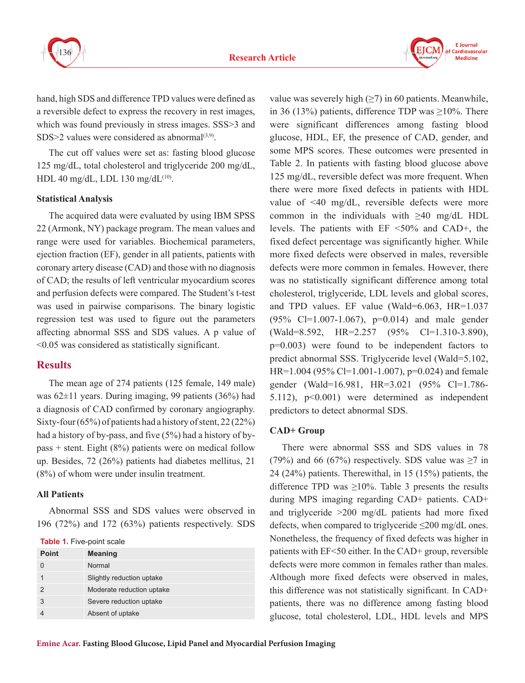

**F** Journal Cardiovascular **Medicine** 

hand, high SDS and difference TPD values were defined as a reversible defect to express the recovery in rest images, which was found previously in stress images. SSS>3 and SDS>2 values were considered as abnormal $(3,9)$ .

The cut off values were set as: fasting blood glucose 125 mg/dL, total cholesterol and triglyceride 200 mg/dL, HDL 40 mg/dL, LDL 130 mg/dL<sup>(10)</sup>.

#### **Statistical Analysis**

The acquired data were evaluated by using IBM SPSS 22 (Armonk, NY) package program. The mean values and range were used for variables. Biochemical parameters, ejection fraction (EF), gender in all patients, patients with coronary artery disease (CAD) and those with no diagnosis of CAD; the results of left ventricular myocardium scores and perfusion defects were compared. The Student's t-test was used in pairwise comparisons. The binary logistic regression test was used to figure out the parameters affecting abnormal SSS and SDS values. A p value of <0.05 was considered as statistically significant.

## **Results**

The mean age of 274 patients (125 female, 149 male) was 62±11 years. During imaging, 99 patients (36%) had a diagnosis of CAD confirmed by coronary angiography. Sixty-four (65%) of patients had a history of stent, 22 (22%) had a history of by-pass, and five (5%) had a history of bypass + stent. Eight (8%) patients were on medical follow up. Besides, 72 (26%) patients had diabetes mellitus, 21 (8%) of whom were under insulin treatment.

#### **All Patients**

Abnormal SSS and SDS values were observed in 196 (72%) and 172 (63%) patients respectively. SDS

**Table 1.** Five-point scale

| <b>Point</b> | <b>Meaning</b>            |
|--------------|---------------------------|
|              | Normal                    |
|              | Slightly reduction uptake |
|              | Moderate reduction uptake |
| 3            | Severe reduction uptake   |
|              | Absent of uptake          |

value was severely high  $(\geq 7)$  in 60 patients. Meanwhile, in 36 (13%) patients, difference TDP was  $\geq$ 10%. There were significant differences among fasting blood glucose, HDL, EF, the presence of CAD, gender, and some MPS scores. These outcomes were presented in Table 2. In patients with fasting blood glucose above 125 mg/dL, reversible defect was more frequent. When there were more fixed defects in patients with HDL value of <40 mg/dL, reversible defects were more common in the individuals with ≥40 mg/dL HDL levels. The patients with EF <50% and CAD+, the fixed defect percentage was significantly higher. While more fixed defects were observed in males, reversible defects were more common in females. However, there was no statistically significant difference among total cholesterol, triglyceride, LDL levels and global scores, and TPD values. EF value (Wald=6.063, HR=1.037 (95% Cl=1.007-1.067), p=0.014) and male gender (Wald=8.592, HR=2.257 (95% Cl=1.310-3.890), p=0.003) were found to be independent factors to predict abnormal SSS. Triglyceride level (Wald=5.102, HR=1.004 (95% Cl=1.001-1.007),  $p=0.024$ ) and female gender (Wald=16.981, HR=3.021 (95% Cl=1.786- 5.112), p<0.001) were determined as independent predictors to detect abnormal SDS.

#### **CAD+ Group**

There were abnormal SSS and SDS values in 78 (79%) and 66 (67%) respectively. SDS value was  $\geq$ 7 in 24 (24%) patients. Therewithal, in 15 (15%) patients, the difference TPD was  $\geq 10\%$ . Table 3 presents the results during MPS imaging regarding CAD+ patients. CAD+ and triglyceride >200 mg/dL patients had more fixed defects, when compared to triglyceride ≤200 mg/dL ones. Nonetheless, the frequency of fixed defects was higher in patients with EF<50 either. In the CAD+ group, reversible defects were more common in females rather than males. Although more fixed defects were observed in males, this difference was not statistically significant. In CAD+ patients, there was no difference among fasting blood glucose, total cholesterol, LDL, HDL levels and MPS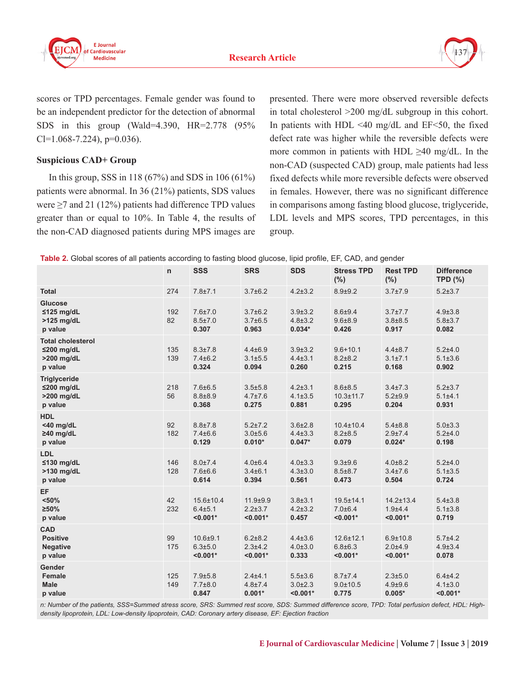



scores or TPD percentages. Female gender was found to be an independent predictor for the detection of abnormal SDS in this group (Wald=4.390, HR=2.778 (95%  $Cl=1.068-7.224$ , p=0.036).

# **Suspicious CAD+ Group**

In this group, SSS in 118 (67%) and SDS in 106 (61%) patients were abnormal. In 36 (21%) patients, SDS values were  $\geq$  7 and 21 (12%) patients had difference TPD values greater than or equal to 10%. In Table 4, the results of the non-CAD diagnosed patients during MPS images are

presented. There were more observed reversible defects in total cholesterol >200 mg/dL subgroup in this cohort. In patients with HDL  $\leq 40$  mg/dL and EF $\leq 50$ , the fixed defect rate was higher while the reversible defects were more common in patients with HDL  $\geq 40$  mg/dL. In the non-CAD (suspected CAD) group, male patients had less fixed defects while more reversible defects were observed in females. However, there was no significant difference in comparisons among fasting blood glucose, triglyceride, LDL levels and MPS scores, TPD percentages, in this group.

| Table 2. Global scores of all patients according to fasting blood glucose, lipid profile, EF, CAD, and gender |  |  |  |  |
|---------------------------------------------------------------------------------------------------------------|--|--|--|--|
|---------------------------------------------------------------------------------------------------------------|--|--|--|--|

|                                                                   | n.         | <b>SSS</b>                                | <b>SRS</b>                                  | <b>SDS</b>                                   | <b>Stress TPD</b><br>(%)                       | <b>Rest TPD</b><br>(%)                       | <b>Difference</b><br><b>TPD (%)</b>        |
|-------------------------------------------------------------------|------------|-------------------------------------------|---------------------------------------------|----------------------------------------------|------------------------------------------------|----------------------------------------------|--------------------------------------------|
| <b>Total</b>                                                      | 274        | $7.8 + 7.1$                               | $3.7 \pm 6.2$                               | $4.2 \pm 3.2$                                | $8.9 + 9.2$                                    | $3.7 + 7.9$                                  | $5.2 + 3.7$                                |
| <b>Glucose</b><br>$≤125$ mg/dL<br>>125 mg/dL<br>p value           | 192<br>82  | $7.6 \pm 7.0$<br>$8.5 \pm 7.0$<br>0.307   | $3.7 \pm 6.2$<br>$3.7 \pm 6.5$<br>0.963     | $3.9 \pm 3.2$<br>$4.8 \pm 3.2$<br>$0.034*$   | $8.6 + 9.4$<br>$9.6 + 8.9$<br>0.426            | $3.7 \pm 7.7$<br>$3.8 + 8.5$<br>0.917        | $4.9 \pm 3.8$<br>$5.8 \pm 3.7$<br>0.082    |
| <b>Total cholesterol</b><br>$≤200$ mg/dL<br>>200 mg/dL<br>p value | 135<br>139 | $8.3 \pm 7.8$<br>$7.4 \pm 6.2$<br>0.324   | $4.4 \pm 6.9$<br>$3.1 + 5.5$<br>0.094       | $3.9 \pm 3.2$<br>$4.4 \pm 3.1$<br>0.260      | $9.6 + 10.1$<br>$8.2 + 8.2$<br>0.215           | $4.4 \pm 8.7$<br>$3.1 \pm 7.1$<br>0.168      | $5.2 + 4.0$<br>$5.1 \pm 3.6$<br>0.902      |
| <b>Triglyceride</b><br>≤200 mg/dL<br>>200 mg/dL<br>p value        | 218<br>56  | $7.6 \pm 6.5$<br>$8.8 + 8.9$<br>0.368     | $3.5 + 5.8$<br>$4.7 \pm 7.6$<br>0.275       | $4.2 \pm 3.1$<br>$4.1 \pm 3.5$<br>0.881      | $8.6 + 8.5$<br>$10.3 \pm 11.7$<br>0.295        | $3.4 \pm 7.3$<br>$5.2 + 9.9$<br>0.204        | $5.2 \pm 3.7$<br>$5.1 + 4.1$<br>0.931      |
| <b>HDL</b><br>$<$ 40 mg/dL<br>$\geq$ 40 mg/dL<br>p value          | 92<br>182  | $8.8 + 7.8$<br>$7.4 \pm 6.6$<br>0.129     | $5.2 \pm 7.2$<br>$3.0 + 5.6$<br>$0.010*$    | $3.6{\pm}2.8$<br>$4.4 \pm 3.3$<br>$0.047*$   | $10.4 \pm 10.4$<br>$8.2 \pm 8.5$<br>0.079      | $5.4 \pm 8.8$<br>$2.9 + 7.4$<br>$0.024*$     | $5.0 \pm 3.3$<br>$5.2 + 4.0$<br>0.198      |
| LDL<br>$≤130$ mg/dL<br>>130 mg/dL<br>p value                      | 146<br>128 | $8.0{\pm}7.4$<br>$7.6 \pm 6.6$<br>0.614   | $4.0 + 6.4$<br>$3.4 \pm 6.1$<br>0.394       | $4.0 \pm 3.3$<br>$4.3 \pm 3.0$<br>0.561      | $9.3 + 9.6$<br>$8.5 \pm 8.7$<br>0.473          | $4.0 \pm 8.2$<br>$3.4 \pm 7.6$<br>0.504      | $5.2 + 4.0$<br>$5.1 \pm 3.5$<br>0.724      |
| <b>EF</b><br>< 50%<br>≥50%<br>p value                             | 42<br>232  | 15.6±10.4<br>$6.4{\pm}5.1$<br>$< 0.001*$  | $11.9 + 9.9$<br>$2.2 \pm 3.7$<br>$< 0.001*$ | $3.8 + 3.1$<br>$4.2 \pm 3.2$<br>0.457        | $19.5 \pm 14.1$<br>$7.0 + 6.4$<br>$< 0.001*$   | $14.2 \pm 13.4$<br>$1.9 + 4.4$<br>$< 0.001*$ | $5.4 \pm 3.8$<br>$5.1 \pm 3.8$<br>0.719    |
| <b>CAD</b><br><b>Positive</b><br><b>Negative</b><br>p value       | 99<br>175  | $10.6 + 9.1$<br>$6.3 + 5.0$<br>$< 0.001*$ | $6.2 \pm 8.2$<br>$2.3 + 4.2$<br>$< 0.001*$  | $4.4 \pm 3.6$<br>$4.0 \pm 3.0$<br>0.333      | $12.6 \pm 12.1$<br>$6.8 \pm 6.3$<br>$< 0.001*$ | $6.9 + 10.8$<br>$2.0 + 4.9$<br>$< 0.001*$    | $5.7{\pm}4.2$<br>$4.9 \pm 3.4$<br>0.078    |
| Gender<br><b>Female</b><br><b>Male</b><br>p value                 | 125<br>149 | $7.9 + 5.8$<br>$7.7 \pm 8.0$<br>0.847     | $2.4 + 4.1$<br>$4.8 \pm 7.4$<br>$0.001*$    | $5.5 \pm 3.6$<br>$3.0 \pm 2.3$<br>$< 0.001*$ | 8.7±7.4<br>$9.0 + 10.5$<br>0.775               | $2.3 + 5.0$<br>$4.9 + 9.6$<br>$0.005*$       | $6.4 + 4.2$<br>$4.1 \pm 3.0$<br>$< 0.001*$ |

*n: Number of the patients, SSS=Summed stress score, SRS: Summed rest score, SDS: Summed difference score, TPD: Total perfusion defect, HDL: Highdensity lipoprotein, LDL: Low-density lipoprotein, CAD: Coronary artery disease, EF: Ejection fraction*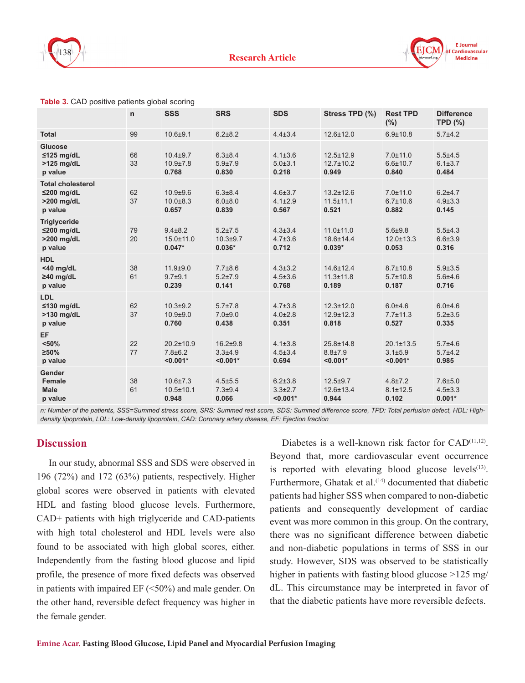



|                                                                       | n        | <b>SSS</b>                                     | <b>SRS</b>                                | <b>SDS</b>                                   | Stress TPD (%)                              | <b>Rest TPD</b><br>(%)                       | <b>Difference</b><br><b>TPD (%)</b>      |
|-----------------------------------------------------------------------|----------|------------------------------------------------|-------------------------------------------|----------------------------------------------|---------------------------------------------|----------------------------------------------|------------------------------------------|
| <b>Total</b>                                                          | 99       | $10.6 + 9.1$                                   | $6.2 + 8.2$                               | $4.4 \pm 3.4$                                | 12.6±12.0                                   | $6.9 + 10.8$                                 | $5.7{\pm}4.2$                            |
| <b>Glucose</b><br>$\leq$ 125 mg/dL<br>$>125$ mg/dL<br>p value         | 66<br>33 | $10.4 + 9.7$<br>$10.9 + 7.8$<br>0.768          | $6.3 \pm 8.4$<br>$5.9{\pm}7.9$<br>0.830   | $4.1 \pm 3.6$<br>$5.0 + 3.1$<br>0.218        | $12.5 \pm 12.9$<br>$12.7 \pm 10.2$<br>0.949 | $7.0 \pm 11.0$<br>$6.6 \pm 10.7$<br>0.840    | $5.5 + 4.5$<br>$6.1 \pm 3.7$<br>0.484    |
| <b>Total cholesterol</b><br>$\leq$ 200 mg/dL<br>>200 mg/dL<br>p value | 62<br>37 | $10.9 + 9.6$<br>$10.0 + 8.3$<br>0.657          | $6.3 \pm 8.4$<br>$6.0 + 8.0$<br>0.839     | $4.6 \pm 3.7$<br>$4.1 \pm 2.9$<br>0.567      | $13.2 \pm 12.6$<br>$11.5 \pm 11.1$<br>0.521 | $7.0 \pm 11.0$<br>$6.7 \pm 10.6$<br>0.882    | $6.2 + 4.7$<br>$4.9 \pm 3.3$<br>0.145    |
| <b>Triglyceride</b><br>$≤200$ mg/dL<br>>200 mg/dL<br>p value          | 79<br>20 | $9.4 \pm 8.2$<br>$15.0 \pm 11.0$<br>$0.047*$   | $5.2 \pm 7.5$<br>$10.3 + 9.7$<br>$0.036*$ | $4.3 \pm 3.4$<br>$4.7 \pm 3.6$<br>0.712      | $11.0 \pm 11.0$<br>18.6±14.4<br>$0.039*$    | $5.6 + 9.8$<br>$12.0 \pm 13.3$<br>0.053      | $5.5 + 4.3$<br>$6.6{\pm}3.9$<br>0.316    |
| <b>HDL</b><br>$<$ 40 mg/dL<br>$\geq$ 40 mg/dL<br>p value              | 38<br>61 | $11.9 + 9.0$<br>$9.7 + 9.1$<br>0.239           | $7.7 \pm 8.6$<br>$5.2 \pm 7.9$<br>0.141   | $4.3 \pm 3.2$<br>$4.5 \pm 3.6$<br>0.768      | 14.6±12.4<br>$11.3 \pm 11.8$<br>0.189       | $8.7 \pm 10.8$<br>$5.7 \pm 10.8$<br>0.187    | $5.9{\pm}3.5$<br>$5.6 + 4.6$<br>0.716    |
| LDL<br>≤130 mg/dL<br>>130 mg/dL<br>p value                            | 62<br>37 | $10.3 + 9.2$<br>$10.9 + 9.0$<br>0.760          | $5.7 \pm 7.8$<br>$7.0 + 9.0$<br>0.438     | $4.7 \pm 3.8$<br>$4.0 \pm 2.8$<br>0.351      | $12.3 \pm 12.0$<br>$12.9 \pm 12.3$<br>0.818 | $6.0 + 4.6$<br>$7.7 \pm 11.3$<br>0.527       | $6.0 + 4.6$<br>$5.2 \pm 3.5$<br>0.335    |
| EF<br>< 50%<br>$\geq 50\%$<br>p value                                 | 22<br>77 | $20.2 \pm 10.9$<br>$7.8 \pm 6.2$<br>$< 0.001*$ | $16.2 + 9.8$<br>$3.3 + 4.9$<br>$< 0.001*$ | $4.1 \pm 3.8$<br>$4.5 \pm 3.4$<br>0.694      | 25.8±14.8<br>$8.8 + 7.9$<br>$< 0.001*$      | $20.1 \pm 13.5$<br>$3.1 + 5.9$<br>$< 0.001*$ | $5.7 + 4.6$<br>$5.7{\pm}4.2$<br>0.985    |
| Gender<br><b>Female</b><br><b>Male</b><br>p value                     | 38<br>61 | $10.6 \pm 7.3$<br>$10.5 \pm 10.1$<br>0.948     | $4.5 \pm 5.5$<br>$7.3 + 9.4$<br>0.066     | $6.2 \pm 3.8$<br>$3.3 \pm 2.7$<br>$< 0.001*$ | $12.5 + 9.7$<br>12.6±13.4<br>0.944          | $4.8 \pm 7.2$<br>$8.1 \pm 12.5$<br>0.102     | $7.6 + 5.0$<br>$4.5 \pm 3.3$<br>$0.001*$ |

*n: Number of the patients, SSS=Summed stress score, SRS: Summed rest score, SDS: Summed difference score, TPD: Total perfusion defect, HDL: Highdensity lipoprotein, LDL: Low-density lipoprotein, CAD: Coronary artery disease, EF: Ejection fraction*

## **Discussion**

In our study, abnormal SSS and SDS were observed in 196 (72%) and 172 (63%) patients, respectively. Higher global scores were observed in patients with elevated HDL and fasting blood glucose levels. Furthermore, CAD+ patients with high triglyceride and CAD-patients with high total cholesterol and HDL levels were also found to be associated with high global scores, either. Independently from the fasting blood glucose and lipid profile, the presence of more fixed defects was observed in patients with impaired EF (<50%) and male gender. On the other hand, reversible defect frequency was higher in the female gender.

Diabetes is a well-known risk factor for CAD<sup>(11,12)</sup>. Beyond that, more cardiovascular event occurrence is reported with elevating blood glucose levels $(13)$ . Furthermore, Ghatak et al.<sup>(14)</sup> documented that diabetic patients had higher SSS when compared to non-diabetic patients and consequently development of cardiac event was more common in this group. On the contrary, there was no significant difference between diabetic and non-diabetic populations in terms of SSS in our study. However, SDS was observed to be statistically higher in patients with fasting blood glucose >125 mg/ dL. This circumstance may be interpreted in favor of that the diabetic patients have more reversible defects.

**F** Journal Cardiovascular **Medicine**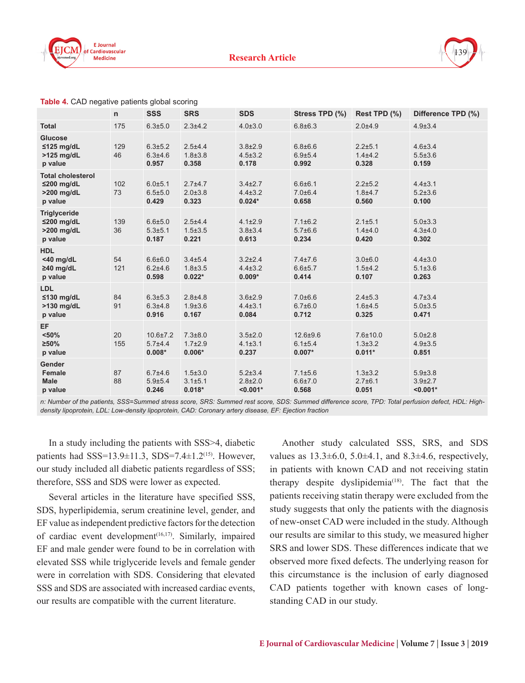



|                                                                   | $\mathsf{n}$ | <b>SSS</b>                                | <b>SRS</b>                                 | <b>SDS</b>                                   | Stress TPD (%)                            | Rest TPD (%)                                | Difference TPD (%)                           |
|-------------------------------------------------------------------|--------------|-------------------------------------------|--------------------------------------------|----------------------------------------------|-------------------------------------------|---------------------------------------------|----------------------------------------------|
| <b>Total</b>                                                      | 175          | $6.3 \pm 5.0$                             | $2.3 + 4.2$                                | $4.0 \pm 3.0$                                | $6.8 \pm 6.3$                             | $2.0 + 4.9$                                 | $4.9 \pm 3.4$                                |
| <b>Glucose</b><br>$≤125$ mg/dL<br>$>125$ mg/dL<br>p value         | 129<br>46    | $6.3 \pm 5.2$<br>$6.3 + 4.6$<br>0.957     | $2.5 + 4.4$<br>$1.8 \pm 3.8$<br>0.358      | $3.8 + 2.9$<br>$4.5 \pm 3.2$<br>0.178        | $6.8 + 6.6$<br>$6.9{\pm}5.4$<br>0.992     | $2.2 + 5.1$<br>$1.4 + 4.2$<br>0.328         | $4.6 \pm 3.4$<br>$5.5 \pm 3.6$<br>0.159      |
| <b>Total cholesterol</b><br>$≤200$ mg/dL<br>>200 mg/dL<br>p value | 102<br>73    | 6.0±5.1<br>$6.5 \pm 5.0$<br>0.429         | $2.7 + 4.7$<br>$2.0 \pm 3.8$<br>0.323      | $3.4 \pm 2.7$<br>$4.4 \pm 3.2$<br>$0.024*$   | $6.6 + 6.1$<br>$7.0 \pm 6.4$<br>0.658     | $2.2 \pm 5.2$<br>$1.8 + 4.7$<br>0.560       | $4.4 \pm 3.1$<br>$5.2 \pm 3.6$<br>0.100      |
| <b>Triglyceride</b><br>$≤200$ mg/dL<br>>200 mg/dL<br>p value      | 139<br>36    | $6.6 + 5.0$<br>$5.3 + 5.1$<br>0.187       | $2.5 + 4.4$<br>$1.5 \pm 3.5$<br>0.221      | $4.1 \pm 2.9$<br>$3.8 + 3.4$<br>0.613        | $7.1 \pm 6.2$<br>5.7±6.6<br>0.234         | $2.1 \pm 5.1$<br>$1.4 + 4.0$<br>0.420       | $5.0 \pm 3.3$<br>$4.3 + 4.0$<br>0.302        |
| <b>HDL</b><br><40 mg/dL<br>≥40 mg/dL<br>p value                   | 54<br>121    | $6.6 + 6.0$<br>$6.2 + 4.6$<br>0.598       | $3.4 \pm 5.4$<br>$1.8 \pm 3.5$<br>$0.022*$ | $3.2 \pm 2.4$<br>$4.4 \pm 3.2$<br>$0.009*$   | $7.4 \pm 7.6$<br>$6.6 + 5.7$<br>0.414     | $3.0 + 6.0$<br>$1.5 + 4.2$<br>0.107         | $4.4 \pm 3.0$<br>$5.1 \pm 3.6$<br>0.263      |
| <b>LDL</b><br>≤130 mg/dL<br>>130 mg/dL<br>p value                 | 84<br>91     | $6.3 \pm 5.3$<br>$6.3 + 4.8$<br>0.916     | $2.8 + 4.8$<br>$1.9 \pm 3.6$<br>0.167      | $3.6 \pm 2.9$<br>$4.4 \pm 3.1$<br>0.084      | $7.0 + 6.6$<br>$6.7{\pm}6.0$<br>0.712     | $2.4 \pm 5.3$<br>$1.6 + 4.5$<br>0.325       | $4.7 \pm 3.4$<br>$5.0 + 3.5$<br>0.471        |
| EF<br>< 50%<br>$\geq 50\%$<br>p value                             | 20<br>155    | $10.6 \pm 7.2$<br>$5.7 + 4.4$<br>$0.008*$ | $7.3 \pm 8.0$<br>$1.7 \pm 2.9$<br>$0.006*$ | $3.5 \pm 2.0$<br>$4.1 \pm 3.1$<br>0.237      | $12.6 + 9.6$<br>$6.1 \pm 5.4$<br>$0.007*$ | $7.6 \pm 10.0$<br>$1.3 \pm 3.2$<br>$0.011*$ | $5.0 \pm 2.8$<br>$4.9 \pm 3.5$<br>0.851      |
| Gender<br><b>Female</b><br><b>Male</b><br>p value                 | 87<br>88     | $6.7{\pm}4.6$<br>$5.9{\pm}5.4$<br>0.246   | $1.5 \pm 3.0$<br>$3.1 \pm 5.1$<br>$0.018*$ | $5.2 \pm 3.4$<br>$2.8 \pm 2.0$<br>$< 0.001*$ | $7.1 \pm 5.6$<br>$6.6{\pm}7.0$<br>0.568   | $1.3 \pm 3.2$<br>$2.7 \pm 6.1$<br>0.051     | $5.9 \pm 3.8$<br>$3.9{\pm}2.7$<br>$< 0.001*$ |

#### **Table 4.** CAD negative patients global scoring

*n: Number of the patients, SSS=Summed stress score, SRS: Summed rest score, SDS: Summed difference score, TPD: Total perfusion defect, HDL: Highdensity lipoprotein, LDL: Low-density lipoprotein, CAD: Coronary artery disease, EF: Ejection fraction*

In a study including the patients with SSS>4, diabetic patients had SSS=13.9 $\pm$ 11.3, SDS=7.4 $\pm$ 1.2<sup>(15)</sup>. However, our study included all diabetic patients regardless of SSS; therefore, SSS and SDS were lower as expected.

Several articles in the literature have specified SSS, SDS, hyperlipidemia, serum creatinine level, gender, and EF value as independent predictive factors for the detection of cardiac event development(16,17). Similarly, impaired EF and male gender were found to be in correlation with elevated SSS while triglyceride levels and female gender were in correlation with SDS. Considering that elevated SSS and SDS are associated with increased cardiac events, our results are compatible with the current literature.

Another study calculated SSS, SRS, and SDS values as  $13.3\pm6.0$ ,  $5.0\pm4.1$ , and  $8.3\pm4.6$ , respectively, in patients with known CAD and not receiving statin therapy despite dyslipidemia<sup>(18)</sup>. The fact that the patients receiving statin therapy were excluded from the study suggests that only the patients with the diagnosis of new-onset CAD were included in the study. Although our results are similar to this study, we measured higher SRS and lower SDS. These differences indicate that we observed more fixed defects. The underlying reason for this circumstance is the inclusion of early diagnosed CAD patients together with known cases of longstanding CAD in our study.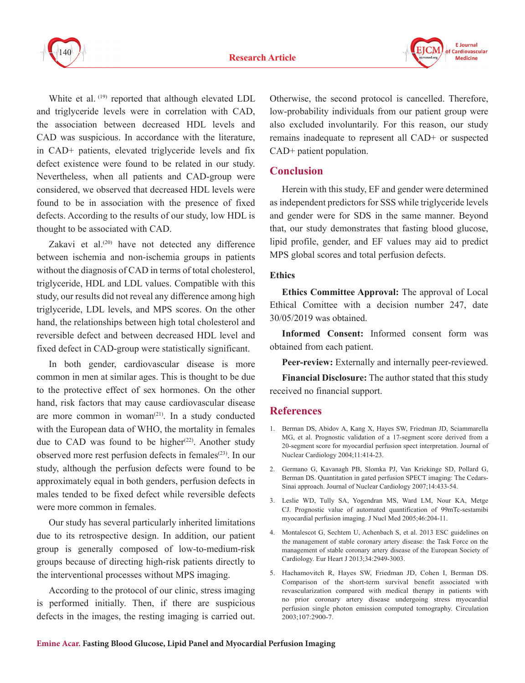



White et al. (19) reported that although elevated LDL and triglyceride levels were in correlation with CAD, the association between decreased HDL levels and CAD was suspicious. In accordance with the literature, in CAD+ patients, elevated triglyceride levels and fix defect existence were found to be related in our study. Nevertheless, when all patients and CAD-group were considered, we observed that decreased HDL levels were found to be in association with the presence of fixed defects. According to the results of our study, low HDL is thought to be associated with CAD.

Zakavi et al. $(20)$  have not detected any difference between ischemia and non-ischemia groups in patients without the diagnosis of CAD in terms of total cholesterol, triglyceride, HDL and LDL values. Compatible with this study, our results did not reveal any difference among high triglyceride, LDL levels, and MPS scores. On the other hand, the relationships between high total cholesterol and reversible defect and between decreased HDL level and fixed defect in CAD-group were statistically significant.

In both gender, cardiovascular disease is more common in men at similar ages. This is thought to be due to the protective effect of sex hormones. On the other hand, risk factors that may cause cardiovascular disease are more common in woman $(21)$ . In a study conducted with the European data of WHO, the mortality in females due to CAD was found to be higher<sup> $(22)$ </sup>. Another study observed more rest perfusion defects in females<sup>(23)</sup>. In our study, although the perfusion defects were found to be approximately equal in both genders, perfusion defects in males tended to be fixed defect while reversible defects were more common in females.

Our study has several particularly inherited limitations due to its retrospective design. In addition, our patient group is generally composed of low-to-medium-risk groups because of directing high-risk patients directly to the interventional processes without MPS imaging.

According to the protocol of our clinic, stress imaging is performed initially. Then, if there are suspicious defects in the images, the resting imaging is carried out. Otherwise, the second protocol is cancelled. Therefore, low-probability individuals from our patient group were also excluded involuntarily. For this reason, our study remains inadequate to represent all CAD+ or suspected CAD+ patient population.

# **Conclusion**

Herein with this study, EF and gender were determined as independent predictors for SSS while triglyceride levels and gender were for SDS in the same manner. Beyond that, our study demonstrates that fasting blood glucose, lipid profile, gender, and EF values may aid to predict MPS global scores and total perfusion defects.

#### **Ethics**

**Ethics Committee Approval:** The approval of Local Ethical Comittee with a decision number 247, date 30/05/2019 was obtained.

**Informed Consent:** Informed consent form was obtained from each patient.

**Peer-review:** Externally and internally peer-reviewed.

**Financial Disclosure:** The author stated that this study received no financial support.

## **References**

- 1. Berman DS, Abidov A, Kang X, Hayes SW, Friedman JD, Sciammarella MG, et al. Prognostic validation of a 17-segment score derived from a 20-segment score for myocardial perfusion spect interpretation. Journal of Nuclear Cardiology 2004;11:414-23.
- 2. Germano G, Kavanagh PB, Slomka PJ, Van Kriekinge SD, Pollard G, Berman DS. Quantitation in gated perfusion SPECT imaging: The Cedars-Sinai approach. Journal of Nuclear Cardiology 2007;14:433-54.
- 3. Leslie WD, Tully SA, Yogendran MS, Ward LM, Nour KA, Metge CJ. Prognostic value of automated quantification of 99mTc-sestamibi myocardial perfusion imaging. J Nucl Med 2005;46:204-11.
- 4. Montalescot G, Sechtem U, Achenbach S, et al. 2013 ESC guidelines on the management of stable coronary artery disease: the Task Force on the management of stable coronary artery disease of the European Society of Cardiology. Eur Heart J 2013;34:2949-3003.
- 5. Hachamovitch R, Hayes SW, Friedman JD, Cohen I, Berman DS. Comparison of the short-term survival benefit associated with revascularization compared with medical therapy in patients with no prior coronary artery disease undergoing stress myocardial perfusion single photon emission computed tomography. Circulation 2003;107:2900-7.